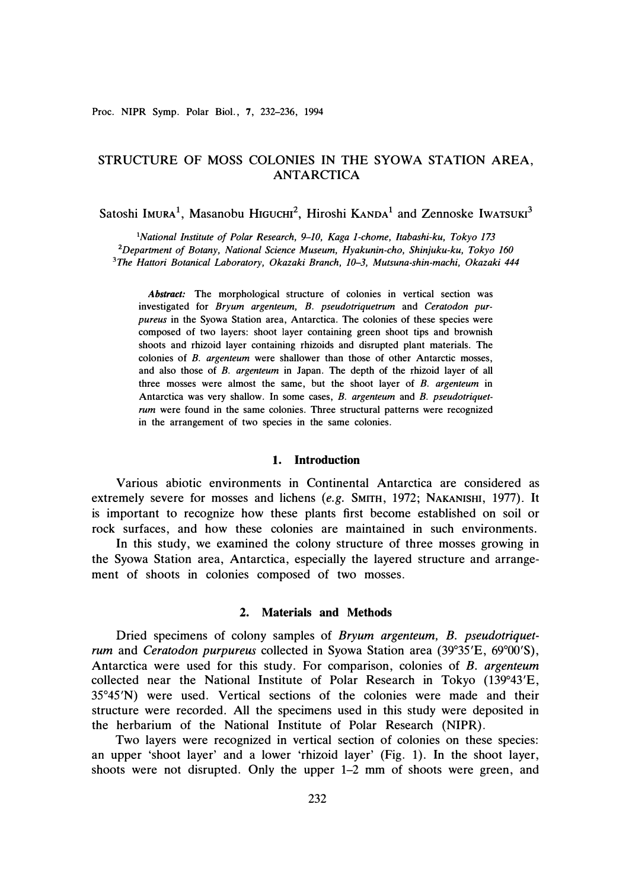# STRUCTURE OF MOSS COLONIES IN THE SYOWA STATION AREA, ANTARCTICA

Satoshi Imura<sup>1</sup>, Masanobu Higuchi<sup>2</sup>, Hiroshi KANDA<sup>1</sup> and Zennoske IwATSUKI<sup>3</sup>

*<sup>1</sup>National Institute of Polar Research, 9-10, Kaga 1-chome, ltabashi-ku, Tokyo 173 <sup>2</sup>Department of Botany, National Science Museum, Hyakunin-cho, Shinjuku-ku, Tokyo 160 3 The Hattori Botanical Laboratory, Okazaki Branch, 10-3, Mutsuna-shin-machi, Okazaki 444* 

*Abstract:* **The morphological structure of colonies in vertical section was investigated for** *Bryum argenteum, B. pseudotriquetrum* **and** *Ceratodon purpureus* **in the Syowa Station area, Antarctica. The colonies of these species were composed of two layers: shoot layer containing green shoot tips and brownish shoots and rhizoid layer containing rhizoids and disrupted plant materials. The colonies of** *B. argenteum* **were shallower than those of other Antarctic mosses, and also those of** *B. argenteum* **in Japan. The depth of the rhizoid layer of all three mosses were almost the same, but the shoot layer of** *B. argenteum* **in Antarctica was very shallow. In some cases,** *B. argenteum* **and** *B. pseudotriquetrum* **were found in the same colonies. Three structural patterns were recognized in the arrangement of two species in the same colonies.** 

#### **1. Introduction**

Various abiotic environments in Continental Antarctica are considered as extremely severe for mosses and lichens *(e.g.* SMITH, 1972; NAKANISHI, 1977). It is important to recognize how these plants first become established on soil or rock surfaces, and how these colonies are maintained in such environments.

In this study, we examined the colony structure of three mosses growing in the Syowa Station area, Antarctica, especially the layered structure and arrangement of shoots in colonies composed of two mosses.

# **2. Materials and Methods**

Dried specimens of colony samples of *Bryum argenteum, B. pseudotriquetrum* and *Ceratodon purpureus* collected in Syowa Station area (39° 35'E, 69° 00'S), Antarctica were used for this study. For comparison, colonies of *B. argenteum*  collected near the National Institute of Polar Research in Tokyo (139° 43'E, 35° 45'N) were used. Vertical sections of the colonies were made and their structure were recorded. All the specimens used in this study were deposited in the herbarium of the National Institute of Polar Research **(NIPR).** 

Two layers were recognized in vertical section of colonies on these species: an upper 'shoot layer' and a lower 'rhizoid layer' (Fig. 1). In the shoot layer, shoots were not disrupted. Only the upper 1-2 mm of shoots were green, and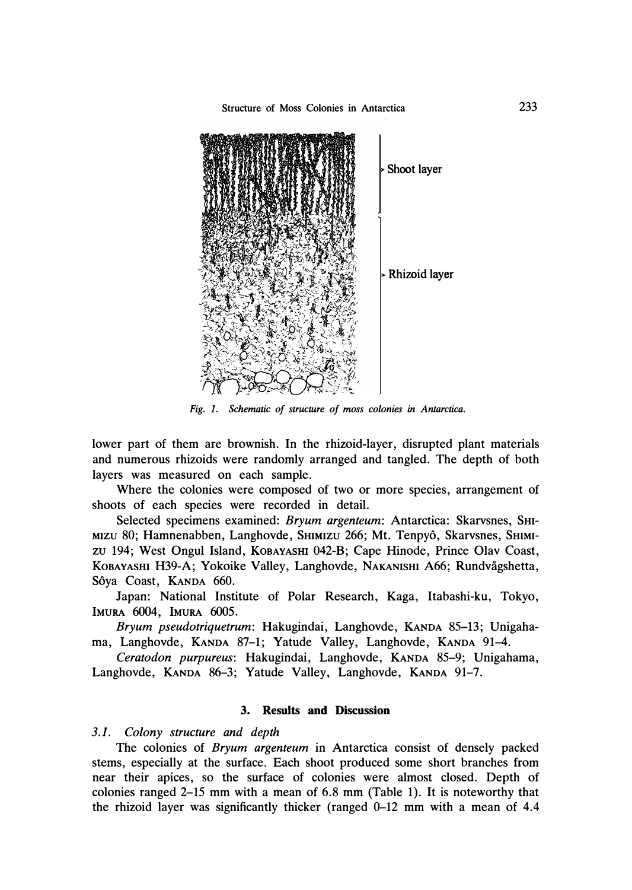

*Fig. 1. Schematic of structure of moss colonies in Antarctica.* 

lower part of them are brownish. In the rhizoid-layer, disrupted plant materials and numerous rhizoids were randomly arranged and tangled. The depth of both layers was measured on each sample.

Where the colonies were composed of two or more species, arrangement of shoots of each species were recorded in detail.

Selected specimens examined: *Bryum argenteum*: Antarctica: Skarvsnes, SHI-MIZU 80; Hamnenabben, Langhovde, SHIMIZU 266; Mt. Tenpyô, Skarvsnes, SHIMIzu 194; West Ongul Island, KOBAYASHI 042-B; Cape Hinode, Prince Olav Coast, KOBAYASHI H39-A; Yokoike Valley, Langhovde, NAKANISHI A66; Rundvågshetta, Sôya Coast, KANDA 660.

Japan: National Institute of Polar Research, Kaga, ltabashi-ku, Tokyo, **IMURA 6004, IMURA 6005.** 

*Bryum pseudotriquetrum:* Hakugindai, Langhovde, KANDA 85-13; Unigahama, Langhovde, KANDA 87-1; Yatude Valley, Langhovde, KANDA 91-4.

*Ceratodon purpureus:* Hakugindai, Langhovde, KANDA 85-9; Unigahama, Langhovde, KANDA 86-3; Yatude Valley, Langhovde, KANDA 91-7.

# **3. Results and Discussion**

## *3.1. Colony structure and depth*

The colonies of *Bryum argenteum* in Antarctica consist of densely packed stems, especially at the surface. Each shoot produced some short branches from near their apices, so the surface of colonies were almost closed. Depth of colonies ranged 2-15 mm with a mean of 6.8 mm (Table 1). It is noteworthy that the rhizoid layer was significantly thicker (ranged 0-12 mm with a mean of 4.4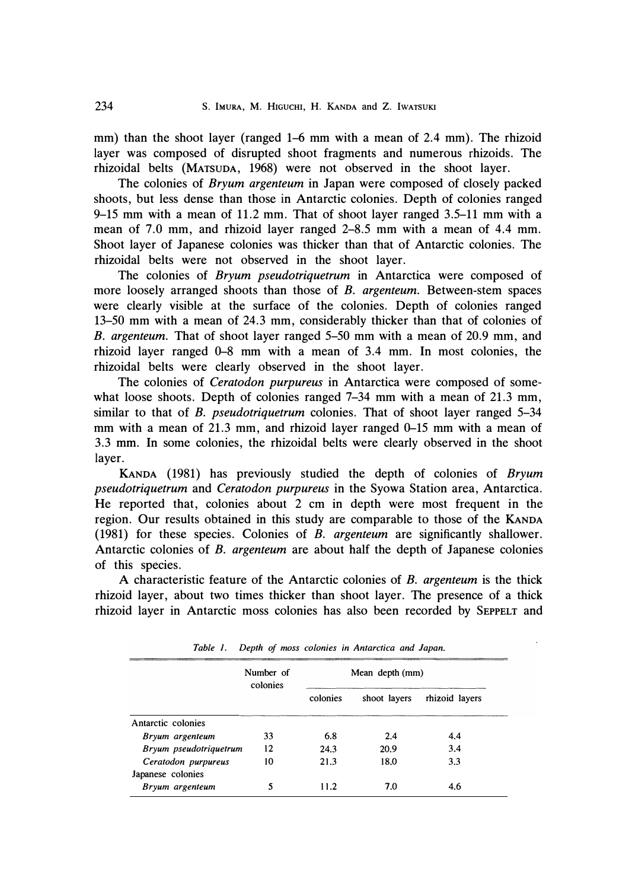mm) than the shoot layer (ranged 1-6 mm with a mean of 2.4 mm). The rhizoid layer was composed of disrupted shoot fragments and numerous rhizoids. The rhizoidal belts (MATSUDA, 1968) were not observed in the shoot layer.

The colonies of *Bryum argenteum* in Japan were composed of closely packed shoots, but less dense than those in Antarctic colonies. Depth of colonies ranged 9-15 mm with a mean of 11.2 mm. That of shoot layer ranged 3.5-11 mm with a mean of 7.0 mm, and rhizoid layer ranged 2–8.5 mm with a mean of 4.4 mm. Shoot layer of Japanese colonies was thicker than that of Antarctic colonies. The rhizoidal belts were not observed in the shoot layer.

The colonies of *Bryum pseudotriquetrum* in Antarctica were composed of more loosely arranged shoots than those of *B. argenteum.* Between-stem spaces were clearly visible at the surface of the colonies. Depth of colonies ranged 13-50 mm with a mean of 24.3 mm, considerably thicker than that of colonies of *B. argenteum.* That of shoot layer ranged 5-50 mm with a mean of 20.9 mm, and rhizoid layer ranged 0-8 mm with a mean of 3.4 mm. In most colonies, the rhizoidal belts were clearly observed in the shoot layer.

The colonies of *Ceratodon purpureus* in Antarctica were composed of somewhat loose shoots. Depth of colonies ranged 7–34 mm with a mean of 21.3 mm, similar to that of *B. pseudotriquetrum* colonies. That of shoot layer ranged 5-34 mm with a mean of 21.3 mm, and rhizoid layer ranged 0-15 mm with a mean of 3.3 mm. In some colonies, the rhizoidal belts were clearly observed in the shoot layer.

KANDA (1981) has previously studied the depth of colonies of *Bryum pseudotriquetrum* and *Ceratodon purpureus* in the Syowa Station area, Antarctica. He reported that, colonies about 2 cm in depth were most frequent in the region. Our results obtained in this study are comparable to those of the KANDA (1981) for these species. Colonies of *B. argenteum* are significantly shallower. Antarctic colonies of *B. argenteum* are about half the depth of Japanese colonies of this species.

A characteristic feature of the Antarctic colonies of *B. argenteum* is the thick rhizoid layer, about two times thicker than shoot layer. The presence of a thick rhizoid layer in Antarctic moss colonies has also been recorded by SEPPELT and

|                                          | Number of<br>colonies | Mean depth (mm) |              |                |
|------------------------------------------|-----------------------|-----------------|--------------|----------------|
|                                          |                       | colonies        | shoot layers | rhizoid layers |
| Antarctic colonies                       |                       |                 |              |                |
| Bryum argenteum                          | 33                    | 6.8             | 2.4          | 4.4            |
| Bryum pseudotriquetrum                   | $12 \,$               | 24.3            | 20.9         | 3.4            |
| Ceratodon purpureus<br>Japanese colonies | 10                    | 21.3            | 18.0         | 3.3            |
| Bryum argenteum                          |                       | 11.2            | 7.0          | 4.6            |

*Table 1. Depth of moss colonies in Antarctica and Japan.*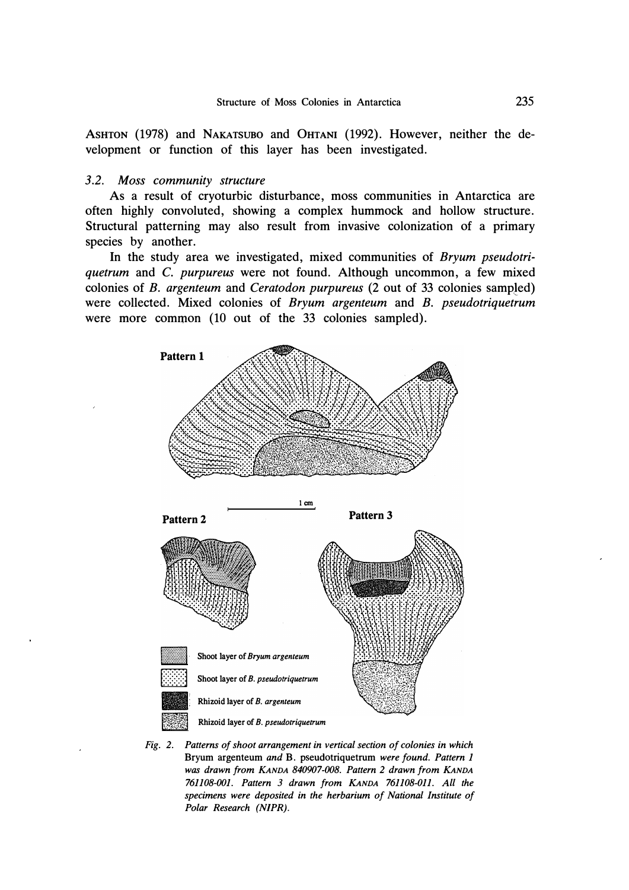ASHTON (1978) and NAKATSUBO and 0HTANI (1992). However, neither the development or function of this layer has been investigated.

### *3.2. Moss community structure*

As a result of cryoturbic disturbance, moss communities in Antarctica are often highly convoluted, showing a complex hummock and hollow structure. Structural patterning may also result from invasive colonization of a primary species by another.

In the study area we investigated, mixed communities of *Bryum pseudotriquetrum* and C. *purpureus* were not found. Although uncommon, a few mixed colonies of *B. argenteum* and *Ceratodon purpureus* (2 out of 33 colonies samp!ed) were collected. Mixed colonies of *Bryum argenteum* and B. *pseudotriquetrum*  were more common (10 out of the 33 colonies sampled).



*Fig. 2. Patterns of shoot arrangement in vertical section of colonies in which*  Bryum argenteum *and* B. pseudotriquetrum *were found. Pattern 1 was drawn from KANDA 840907-008. Pattern 2 drawn from KANDA 761108-001. Pattern 3 drawn from KANDA 761108-011. All the specimens were deposited in the herbarium of National Institute of Polar Research (NJPR).*